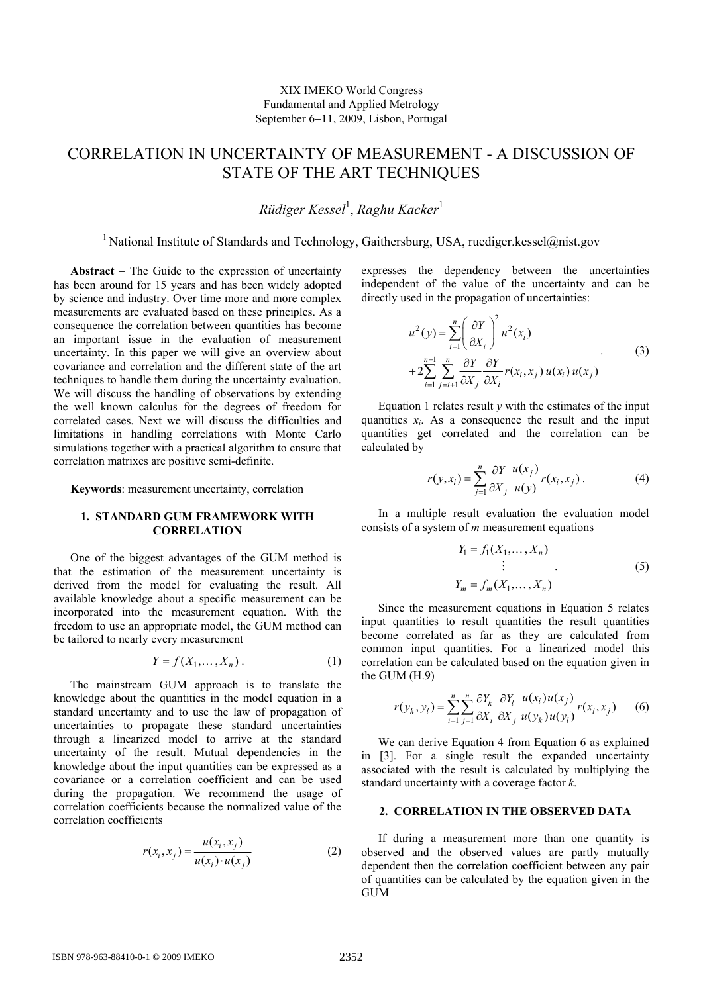# CORRELATION IN UNCERTAINTY OF MEASUREMENT - A DISCUSSION OF STATE OF THE ART TECHNIQUES

*Rüdiger Kessel*<sup>1</sup> , *Raghu Kacker*<sup>1</sup>

<sup>1</sup> National Institute of Standards and Technology, Gaithersburg, USA, ruediger.kessel@nist.gov

<span id="page-0-4"></span>**Abstract** − The Guide to the expression of uncertainty has been around for 15 years and has been widely adopted by science and industry. Over time more and more complex measurements are evaluated based on these principles. As a consequence the correlation between quantities has become an important issue in the evaluation of measurement uncertainty. In this paper we will give an overview about covariance and correlation and the different state of the art techniques to handle them during the uncertainty evaluation. We will discuss the handling of observations by extending the well known calculus for the degrees of freedom for correlated cases. Next we will discuss the difficulties and limitations in handling correlations with Monte Carlo simulations together with a practical algorithm to ensure that correlation matrixes are positive semi-definite.

<span id="page-0-2"></span>**Keywords**: measurement uncertainty, correlation

## **1. STANDARD GUM FRAMEWORK WITH CORRELATION**

<span id="page-0-1"></span>One of the biggest advantages of the GUM method is that the estimation of the measurement uncertainty is derived from the model for evaluating the result. All available knowledge about a specific measurement can be incorporated into the measurement equation. With the freedom to use an appropriate model, the GUM method can be tailored to nearly every measurement

$$
Y = f(X_1, \dots, X_n). \tag{1}
$$

<span id="page-0-3"></span><span id="page-0-0"></span>The mainstream GUM approach is to translate the knowledge about the quantities in the model equation in a standard uncertainty and to use the law of propagation of uncertainties to propagate these standard uncertainties through a linearized model to arrive at the standard uncertainty of the result. Mutual dependencies in the knowledge about the input quantities can be expressed as a covariance or a correlation coefficient and can be used during the propagation. We recommend the usage of correlation coefficients because the normalized value of the correlation coefficients

$$
r(x_i, x_j) = \frac{u(x_i, x_j)}{u(x_i) \cdot u(x_j)}
$$
 (2)

expresses the dependency between the uncertainties independent of the value of the uncertainty and can be directly used in the propagation of uncertainties:

$$
u^{2}(y) = \sum_{i=1}^{n} \left(\frac{\partial Y}{\partial X_{i}}\right)^{2} u^{2}(x_{i})
$$
  
+2
$$
\sum_{i=1}^{n-1} \sum_{j=i+1}^{n} \frac{\partial Y}{\partial X_{j}} \frac{\partial Y}{\partial X_{i}} r(x_{i}, x_{j}) u(x_{i}) u(x_{j})
$$
(3)

Equation [1](#page-0-0) relates result  $y$  with the estimates of the input quantities  $x_i$ . As a consequence the result and the input quantities get correlated and the correlation can be calculated by

$$
r(y, x_i) = \sum_{j=1}^{n} \frac{\partial Y}{\partial X_j} \frac{u(x_j)}{u(y)} r(x_i, x_j).
$$
 (4)

In a multiple result evaluation the evaluation model consists of a system of *m* measurement equations

$$
Y_1 = f_1(X_1, ..., X_n)
$$
  
\n
$$
\vdots
$$
  
\n
$$
Y_m = f_m(X_1, ..., X_n)
$$
 (5)

Since the measurement equations in Equation [5](#page-0-1) relates input quantities to result quantities the result quantities become correlated as far as they are calculated from common input quantities. For a linearized model this correlation can be calculated based on the equation given in the GUM (H.9)

$$
r(y_k, y_l) = \sum_{i=1}^n \sum_{j=1}^n \frac{\partial Y_k}{\partial X_i} \frac{\partial Y_l}{\partial X_j} \frac{u(x_i) u(x_j)}{u(y_k) u(y_l)} r(x_i, x_j)
$$
(6)

We can derive Equation [4](#page-0-2) from Equation [6](#page-0-3) as explained in [\[3](#page-2-0)]. For a single result the expanded uncertainty associated with the result is calculated by multiplying the standard uncertainty with a coverage factor *k*.

#### **2. CORRELATION IN THE OBSERVED DATA**

If during a measurement more than one quantity is observed and the observed values are partly mutually dependent then the correlation coefficient between any pair of quantities can be calculated by the equation given in the GUM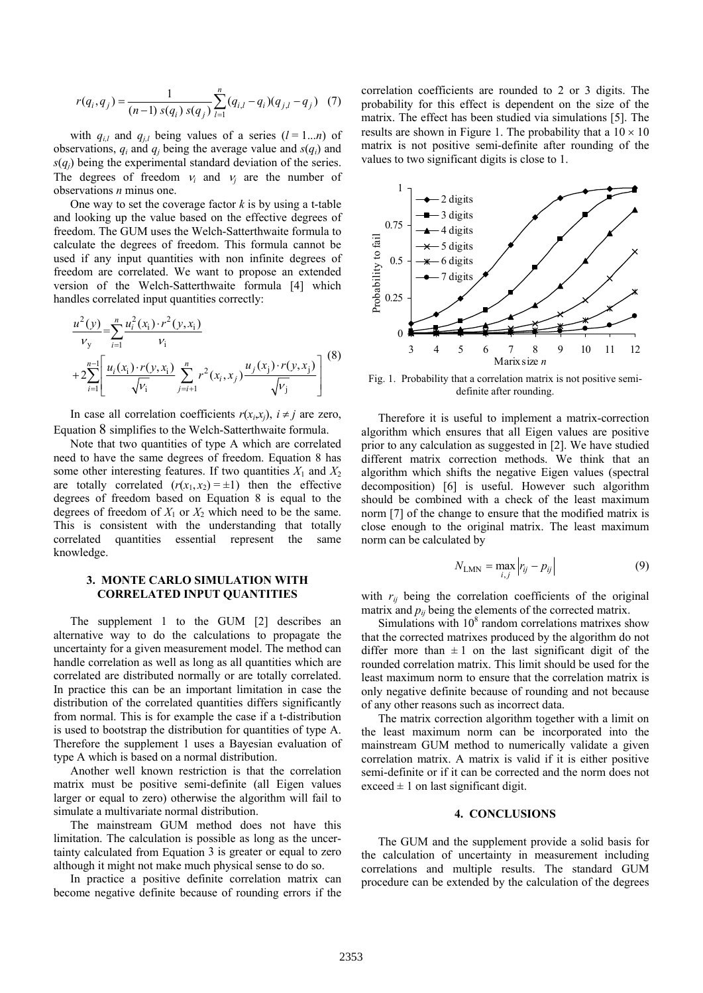$$
r(q_i, q_j) = \frac{1}{(n-1) s(q_i) s(q_j)} \sum_{l=1}^{n} (q_{i,l} - q_i)(q_{j,l} - q_j) \quad (7)
$$

with  $q_{i,l}$  and  $q_{j,l}$  being values of a series  $(l = 1...n)$  of observations,  $q_i$  and  $q_j$  being the average value and  $s(q_i)$  and  $s(q_i)$  being the experimental standard deviation of the series. The degrees of freedom  $v_i$  and  $v_j$  are the number of observations *n* minus one.

One way to set the coverage factor *k* is by using a t-table and looking up the value based on the effective degrees of freedom. The GUM uses the Welch-Satterthwaite formula to calculate the degrees of freedom. This formula cannot be used if any input quantities with non infinite degrees of freedom are correlated. We want to propose an extended version of the Welch-Satterthwaite formula [\[4](#page-2-1)] which handles correlated input quantities correctly:

<span id="page-1-0"></span>
$$
\frac{u^2(y)}{v_y} = \sum_{i=1}^n \frac{u_i^2(x_i) \cdot r^2(y, x_i)}{v_i}
$$
  
+2
$$
\sum_{i=1}^{n-1} \left[ \frac{u_i(x_i) \cdot r(y, x_i)}{\sqrt{v_i}} \sum_{j=i+1}^n r^2(x_i, x_j) \frac{u_j(x_j) \cdot r(y, x_j)}{\sqrt{v_j}} \right]^{(8)}
$$

<span id="page-1-1"></span>In case all correlation coefficients  $r(x_i,x_j)$ ,  $i \neq j$  are zero, Equation [8](#page-1-0) simplifies to the Welch-Satterthwaite formula.

Note that two quantities of type A which are correlated need to have the same degrees of freedom. Equation [8](#page-1-0) has some other interesting features. If two quantities  $X_1$  and  $X_2$ are totally correlated  $(r(x_1, x_2) = \pm 1)$  then the effective degrees of freedom based on Equation [8](#page-1-0) is equal to the degrees of freedom of  $X_1$  or  $X_2$  which need to be the same. This is consistent with the understanding that totally correlated quantities essential represent the same knowledge.

## **3. MONTE CARLO SIMULATION WITH CORRELATED INPUT QUANTITIES**

The supplement 1 to the GUM [[2\]](#page-2-2) describes an alternative way to do the calculations to propagate the uncertainty for a given measurement model. The method can handle correlation as well as long as all quantities which are correlated are distributed normally or are totally correlated. In practice this can be an important limitation in case the distribution of the correlated quantities differs significantly from normal. This is for example the case if a t-distribution is used to bootstrap the distribution for quantities of type A. Therefore the supplement 1 uses a Bayesian evaluation of type A which is based on a normal distribution.

Another well known restriction is that the correlation matrix must be positive semi-definite (all Eigen values larger or equal to zero) otherwise the algorithm will fail to simulate a multivariate normal distribution.

The mainstream GUM method does not have this limitation. The calculation is possible as long as the uncertainty calculated from Equation [3](#page-0-4) is greater or equal to zero although it might not make much physical sense to do so.

In practice a positive definite correlation matrix can become negative definite because of rounding errors if the

correlation coefficients are rounded to 2 or 3 digits. The probability for this effect is dependent on the size of the matrix. The effect has been studied via simulations [[5\]](#page-2-3). The results are shown in Figure [1.](#page-1-1) The probability that a  $10 \times 10$ matrix is not positive semi-definite after rounding of the values to two significant digits is close to 1.



Fig. 1. Probability that a correlation matrix is not positive semidefinite after rounding.

Therefore it is useful to implement a matrix-correction algorithm which ensures that all Eigen values are positive prior to any calculation as suggested in [\[2](#page-2-2)]. We have studied different matrix correction methods. We think that an algorithm which shifts the negative Eigen values (spectral decomposition) [[6\]](#page-2-4) is useful. However such algorithm should be combined with a check of the least maximum norm [[7\]](#page-2-5) of the change to ensure that the modified matrix is close enough to the original matrix. The least maximum norm can be calculated by

$$
N_{\text{LMN}} = \max_{i,j} \left| r_{ij} - p_{ij} \right| \tag{9}
$$

with  $r_{ij}$  being the correlation coefficients of the original matrix and  $p_{ij}$  being the elements of the corrected matrix.

Simulations with  $10<sup>8</sup>$  random correlations matrixes show that the corrected matrixes produced by the algorithm do not differ more than  $\pm 1$  on the last significant digit of the rounded correlation matrix. This limit should be used for the least maximum norm to ensure that the correlation matrix is only negative definite because of rounding and not because of any other reasons such as incorrect data.

The matrix correction algorithm together with a limit on the least maximum norm can be incorporated into the mainstream GUM method to numerically validate a given correlation matrix. A matrix is valid if it is either positive semi-definite or if it can be corrected and the norm does not exceed  $\pm$  1 on last significant digit.

#### **4. CONCLUSIONS**

The GUM and the supplement provide a solid basis for the calculation of uncertainty in measurement including correlations and multiple results. The standard GUM procedure can be extended by the calculation of the degrees